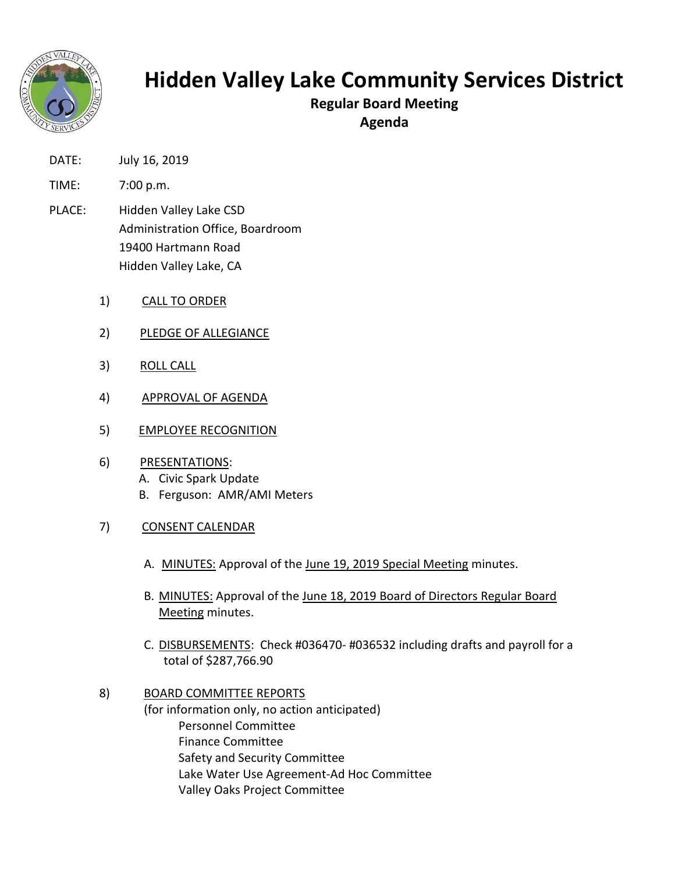

## **Hidden Valley Lake Community Services District**

**Regular Board Meeting**

**Agenda**

- DATE: July 16, 2019
- TIME: 7:00 p.m.
- PLACE: Hidden Valley Lake CSD Administration Office, Boardroom 19400 Hartmann Road Hidden Valley Lake, CA
	- 1) CALL TO ORDER
	- 2) PLEDGE OF ALLEGIANCE
	- 3) ROLL CALL
	- 4) APPROVAL OF AGENDA
	- 5) EMPLOYEE RECOGNITION
	- 6) PRESENTATIONS: A. Civic Spark Update B. Ferguson: AMR/AMI Meters
	- 7) CONSENT CALENDAR
		- A. MINUTES: Approval of the June 19, 2019 Special Meeting minutes.
		- B. MINUTES: Approval of the June 18, 2019 Board of Directors Regular Board Meeting minutes.
		- C. DISBURSEMENTS: Check #036470- #036532 including drafts and payroll for a total of \$287,766.90
	- 8) BOARD COMMITTEE REPORTS (for information only, no action anticipated) Personnel Committee Finance Committee Safety and Security Committee Lake Water Use Agreement-Ad Hoc Committee Valley Oaks Project Committee